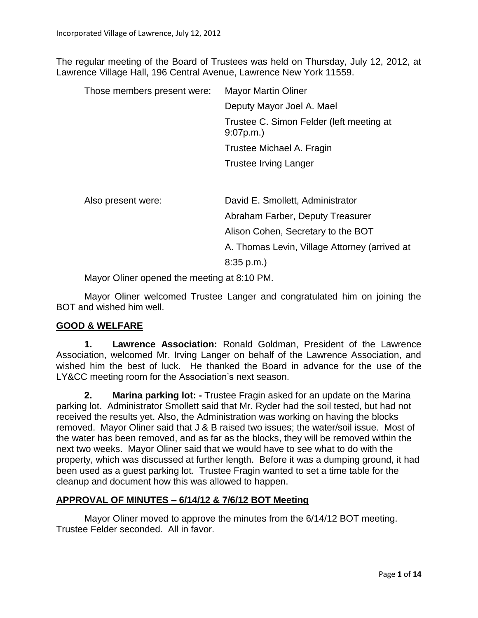The regular meeting of the Board of Trustees was held on Thursday, July 12, 2012, at Lawrence Village Hall, 196 Central Avenue, Lawrence New York 11559.

| Those members present were: | <b>Mayor Martin Oliner</b>                           |  |  |
|-----------------------------|------------------------------------------------------|--|--|
|                             | Deputy Mayor Joel A. Mael                            |  |  |
|                             | Trustee C. Simon Felder (left meeting at<br>9:07p.m. |  |  |
|                             | Trustee Michael A. Fragin                            |  |  |
|                             | <b>Trustee Irving Langer</b>                         |  |  |
| Also present were:          | David E. Smollett, Administrator                     |  |  |

Abraham Farber, Deputy Treasurer Alison Cohen, Secretary to the BOT A. Thomas Levin, Village Attorney (arrived at 8:35 p.m.)

Mayor Oliner opened the meeting at 8:10 PM.

Mayor Oliner welcomed Trustee Langer and congratulated him on joining the BOT and wished him well.

# **GOOD & WELFARE**

**1. Lawrence Association:** Ronald Goldman, President of the Lawrence Association, welcomed Mr. Irving Langer on behalf of the Lawrence Association, and wished him the best of luck. He thanked the Board in advance for the use of the LY&CC meeting room for the Association's next season.

**2. Marina parking lot: -** Trustee Fragin asked for an update on the Marina parking lot. Administrator Smollett said that Mr. Ryder had the soil tested, but had not received the results yet. Also, the Administration was working on having the blocks removed. Mayor Oliner said that J & B raised two issues; the water/soil issue. Most of the water has been removed, and as far as the blocks, they will be removed within the next two weeks. Mayor Oliner said that we would have to see what to do with the property, which was discussed at further length. Before it was a dumping ground, it had been used as a guest parking lot. Trustee Fragin wanted to set a time table for the cleanup and document how this was allowed to happen.

# **APPROVAL OF MINUTES – 6/14/12 & 7/6/12 BOT Meeting**

Mayor Oliner moved to approve the minutes from the 6/14/12 BOT meeting. Trustee Felder seconded. All in favor.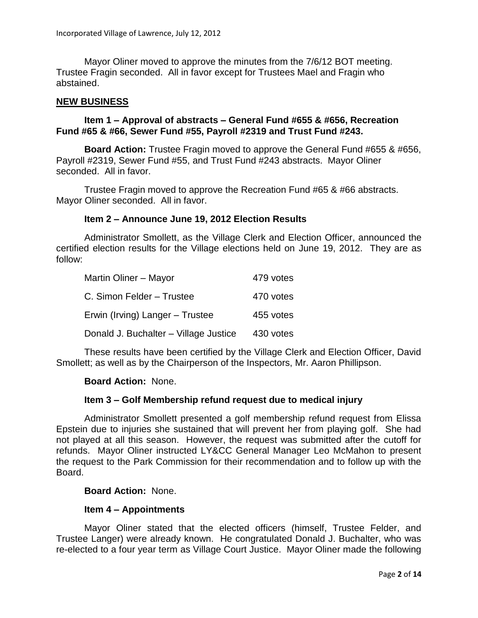Mayor Oliner moved to approve the minutes from the 7/6/12 BOT meeting. Trustee Fragin seconded. All in favor except for Trustees Mael and Fragin who abstained.

#### **NEW BUSINESS**

## **Item 1 – Approval of abstracts – General Fund #655 & #656, Recreation Fund #65 & #66, Sewer Fund #55, Payroll #2319 and Trust Fund #243.**

**Board Action:** Trustee Fragin moved to approve the General Fund #655 & #656, Payroll #2319, Sewer Fund #55, and Trust Fund #243 abstracts. Mayor Oliner seconded. All in favor.

Trustee Fragin moved to approve the Recreation Fund #65 & #66 abstracts. Mayor Oliner seconded. All in favor.

### **Item 2 – Announce June 19, 2012 Election Results**

Administrator Smollett, as the Village Clerk and Election Officer, announced the certified election results for the Village elections held on June 19, 2012. They are as follow:

| Martin Oliner - Mayor                 | 479 votes |
|---------------------------------------|-----------|
| C. Simon Felder - Trustee             | 470 votes |
| Erwin (Irving) Langer - Trustee       | 455 votes |
| Donald J. Buchalter - Village Justice | 430 votes |

These results have been certified by the Village Clerk and Election Officer, David Smollett; as well as by the Chairperson of the Inspectors, Mr. Aaron Phillipson.

#### **Board Action:** None.

#### **Item 3 – Golf Membership refund request due to medical injury**

Administrator Smollett presented a golf membership refund request from Elissa Epstein due to injuries she sustained that will prevent her from playing golf. She had not played at all this season. However, the request was submitted after the cutoff for refunds. Mayor Oliner instructed LY&CC General Manager Leo McMahon to present the request to the Park Commission for their recommendation and to follow up with the Board.

#### **Board Action:** None.

#### **Item 4 – Appointments**

Mayor Oliner stated that the elected officers (himself, Trustee Felder, and Trustee Langer) were already known. He congratulated Donald J. Buchalter, who was re-elected to a four year term as Village Court Justice. Mayor Oliner made the following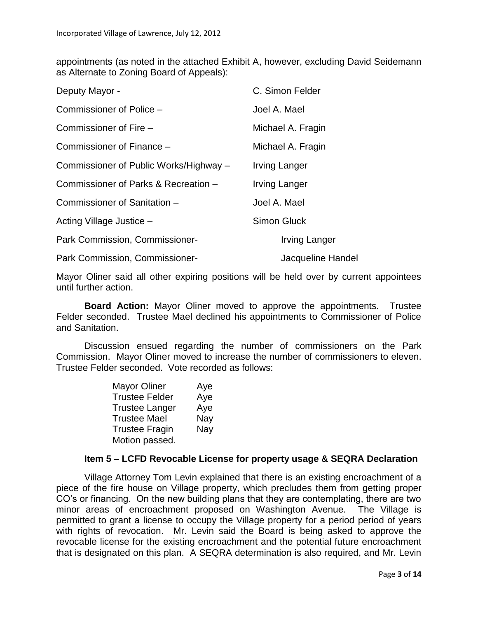appointments (as noted in the attached Exhibit A, however, excluding David Seidemann as Alternate to Zoning Board of Appeals):

| Deputy Mayor -                         | C. Simon Felder      |
|----------------------------------------|----------------------|
| Commissioner of Police -               | Joel A. Mael         |
| Commissioner of Fire -                 | Michael A. Fragin    |
| Commissioner of Finance -              | Michael A. Fragin    |
| Commissioner of Public Works/Highway - | <b>Irving Langer</b> |
| Commissioner of Parks & Recreation -   | <b>Irving Langer</b> |
| Commissioner of Sanitation -           | Joel A. Mael         |
| Acting Village Justice -               | <b>Simon Gluck</b>   |
| Park Commission, Commissioner-         | Irving Langer        |
| Park Commission, Commissioner-         | Jacqueline Handel    |

Mayor Oliner said all other expiring positions will be held over by current appointees until further action.

**Board Action:** Mayor Oliner moved to approve the appointments. Trustee Felder seconded. Trustee Mael declined his appointments to Commissioner of Police and Sanitation.

Discussion ensued regarding the number of commissioners on the Park Commission. Mayor Oliner moved to increase the number of commissioners to eleven. Trustee Felder seconded. Vote recorded as follows:

| <b>Mayor Oliner</b>   | Aye |  |
|-----------------------|-----|--|
| <b>Trustee Felder</b> | Aye |  |
| <b>Trustee Langer</b> | Aye |  |
| <b>Trustee Mael</b>   | Nay |  |
| <b>Trustee Fragin</b> | Nay |  |
| Motion passed.        |     |  |

# **Item 5 – LCFD Revocable License for property usage & SEQRA Declaration**

Village Attorney Tom Levin explained that there is an existing encroachment of a piece of the fire house on Village property, which precludes them from getting proper CO's or financing. On the new building plans that they are contemplating, there are two minor areas of encroachment proposed on Washington Avenue. The Village is permitted to grant a license to occupy the Village property for a period period of years with rights of revocation. Mr. Levin said the Board is being asked to approve the revocable license for the existing encroachment and the potential future encroachment that is designated on this plan. A SEQRA determination is also required, and Mr. Levin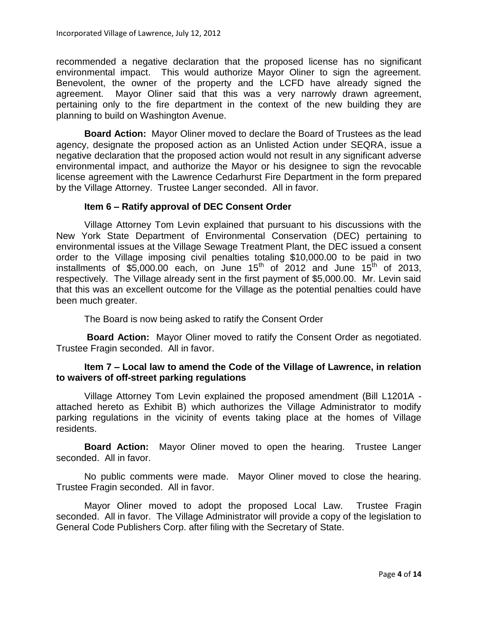recommended a negative declaration that the proposed license has no significant environmental impact. This would authorize Mayor Oliner to sign the agreement. Benevolent, the owner of the property and the LCFD have already signed the agreement. Mayor Oliner said that this was a very narrowly drawn agreement, pertaining only to the fire department in the context of the new building they are planning to build on Washington Avenue.

**Board Action:** Mayor Oliner moved to declare the Board of Trustees as the lead agency, designate the proposed action as an Unlisted Action under SEQRA, issue a negative declaration that the proposed action would not result in any significant adverse environmental impact, and authorize the Mayor or his designee to sign the revocable license agreement with the Lawrence Cedarhurst Fire Department in the form prepared by the Village Attorney. Trustee Langer seconded. All in favor.

# **Item 6 – Ratify approval of DEC Consent Order**

Village Attorney Tom Levin explained that pursuant to his discussions with the New York State Department of Environmental Conservation (DEC) pertaining to environmental issues at the Village Sewage Treatment Plant, the DEC issued a consent order to the Village imposing civil penalties totaling \$10,000.00 to be paid in two installments of  $$5,000.00$  each, on June  $15<sup>th</sup>$  of  $2012$  and June  $15<sup>th</sup>$  of 2013, respectively. The Village already sent in the first payment of \$5,000.00. Mr. Levin said that this was an excellent outcome for the Village as the potential penalties could have been much greater.

The Board is now being asked to ratify the Consent Order

**Board Action:** Mayor Oliner moved to ratify the Consent Order as negotiated. Trustee Fragin seconded. All in favor.

# **Item 7 – Local law to amend the Code of the Village of Lawrence, in relation to waivers of off-street parking regulations**

Village Attorney Tom Levin explained the proposed amendment (Bill L1201A attached hereto as Exhibit B) which authorizes the Village Administrator to modify parking regulations in the vicinity of events taking place at the homes of Village residents.

**Board Action:** Mayor Oliner moved to open the hearing. Trustee Langer seconded. All in favor.

No public comments were made. Mayor Oliner moved to close the hearing. Trustee Fragin seconded. All in favor.

Mayor Oliner moved to adopt the proposed Local Law. Trustee Fragin seconded. All in favor. The Village Administrator will provide a copy of the legislation to General Code Publishers Corp. after filing with the Secretary of State.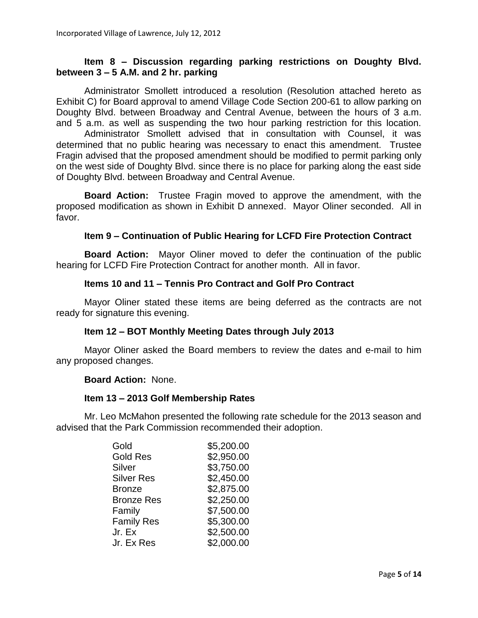## **Item 8 – Discussion regarding parking restrictions on Doughty Blvd. between 3 – 5 A.M. and 2 hr. parking**

Administrator Smollett introduced a resolution (Resolution attached hereto as Exhibit C) for Board approval to amend Village Code Section 200-61 to allow parking on Doughty Blvd. between Broadway and Central Avenue, between the hours of 3 a.m. and 5 a.m. as well as suspending the two hour parking restriction for this location.

Administrator Smollett advised that in consultation with Counsel, it was determined that no public hearing was necessary to enact this amendment. Trustee Fragin advised that the proposed amendment should be modified to permit parking only on the west side of Doughty Blvd. since there is no place for parking along the east side of Doughty Blvd. between Broadway and Central Avenue.

**Board Action:** Trustee Fragin moved to approve the amendment, with the proposed modification as shown in Exhibit D annexed. Mayor Oliner seconded. All in favor.

#### **Item 9 – Continuation of Public Hearing for LCFD Fire Protection Contract**

**Board Action:** Mayor Oliner moved to defer the continuation of the public hearing for LCFD Fire Protection Contract for another month. All in favor.

## **Items 10 and 11 – Tennis Pro Contract and Golf Pro Contract**

Mayor Oliner stated these items are being deferred as the contracts are not ready for signature this evening.

#### **Item 12 – BOT Monthly Meeting Dates through July 2013**

Mayor Oliner asked the Board members to review the dates and e-mail to him any proposed changes.

#### **Board Action:** None.

#### **Item 13 – 2013 Golf Membership Rates**

Mr. Leo McMahon presented the following rate schedule for the 2013 season and advised that the Park Commission recommended their adoption.

| Gold              | \$5,200.00 |
|-------------------|------------|
| <b>Gold Res</b>   | \$2,950.00 |
| Silver            | \$3,750.00 |
| <b>Silver Res</b> | \$2,450.00 |
| <b>Bronze</b>     | \$2,875.00 |
| <b>Bronze Res</b> | \$2,250.00 |
| Family            | \$7,500.00 |
| <b>Family Res</b> | \$5,300.00 |
| Jr. Ex            | \$2,500.00 |
| Jr. Ex Res        | \$2,000.00 |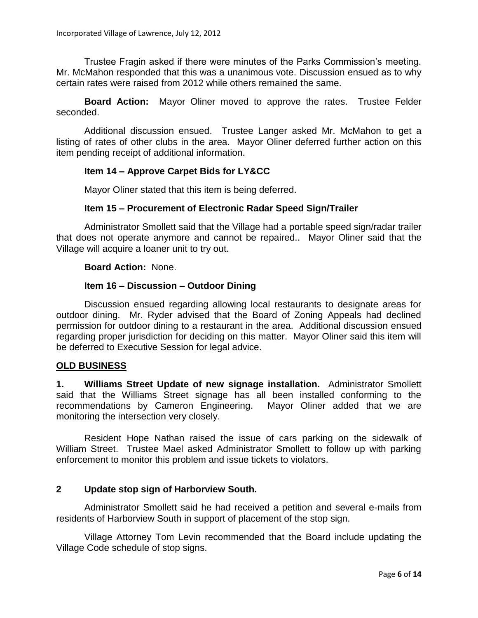Trustee Fragin asked if there were minutes of the Parks Commission's meeting. Mr. McMahon responded that this was a unanimous vote. Discussion ensued as to why certain rates were raised from 2012 while others remained the same.

**Board Action:** Mayor Oliner moved to approve the rates. Trustee Felder seconded.

Additional discussion ensued. Trustee Langer asked Mr. McMahon to get a listing of rates of other clubs in the area. Mayor Oliner deferred further action on this item pending receipt of additional information.

### **Item 14 – Approve Carpet Bids for LY&CC**

Mayor Oliner stated that this item is being deferred.

### **Item 15 – Procurement of Electronic Radar Speed Sign/Trailer**

Administrator Smollett said that the Village had a portable speed sign/radar trailer that does not operate anymore and cannot be repaired.. Mayor Oliner said that the Village will acquire a loaner unit to try out.

**Board Action:** None.

#### **Item 16 – Discussion – Outdoor Dining**

Discussion ensued regarding allowing local restaurants to designate areas for outdoor dining. Mr. Ryder advised that the Board of Zoning Appeals had declined permission for outdoor dining to a restaurant in the area. Additional discussion ensued regarding proper jurisdiction for deciding on this matter. Mayor Oliner said this item will be deferred to Executive Session for legal advice.

#### **OLD BUSINESS**

**1. Williams Street Update of new signage installation.** Administrator Smollett said that the Williams Street signage has all been installed conforming to the recommendations by Cameron Engineering. Mayor Oliner added that we are monitoring the intersection very closely.

Resident Hope Nathan raised the issue of cars parking on the sidewalk of William Street. Trustee Mael asked Administrator Smollett to follow up with parking enforcement to monitor this problem and issue tickets to violators.

# **2 Update stop sign of Harborview South.**

Administrator Smollett said he had received a petition and several e-mails from residents of Harborview South in support of placement of the stop sign.

Village Attorney Tom Levin recommended that the Board include updating the Village Code schedule of stop signs.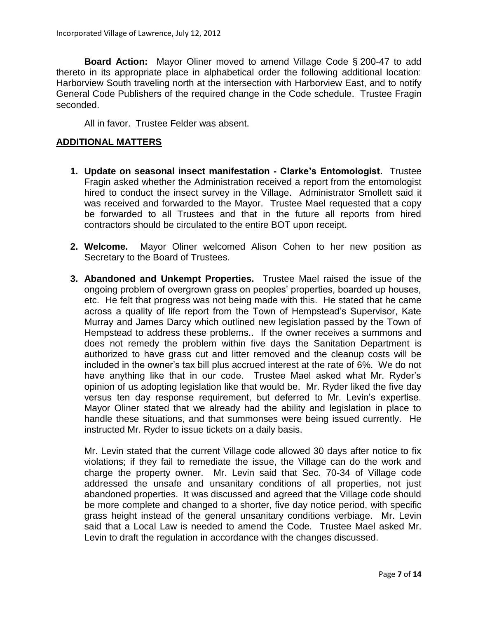**Board Action:** Mayor Oliner moved to amend Village Code § 200-47 to add thereto in its appropriate place in alphabetical order the following additional location: Harborview South traveling north at the intersection with Harborview East, and to notify General Code Publishers of the required change in the Code schedule. Trustee Fragin seconded.

All in favor. Trustee Felder was absent.

#### **ADDITIONAL MATTERS**

- **1. Update on seasonal insect manifestation - Clarke's Entomologist.** Trustee Fragin asked whether the Administration received a report from the entomologist hired to conduct the insect survey in the Village. Administrator Smollett said it was received and forwarded to the Mayor. Trustee Mael requested that a copy be forwarded to all Trustees and that in the future all reports from hired contractors should be circulated to the entire BOT upon receipt.
- **2. Welcome.** Mayor Oliner welcomed Alison Cohen to her new position as Secretary to the Board of Trustees.
- **3. Abandoned and Unkempt Properties.** Trustee Mael raised the issue of the ongoing problem of overgrown grass on peoples' properties, boarded up houses, etc. He felt that progress was not being made with this. He stated that he came across a quality of life report from the Town of Hempstead's Supervisor, Kate Murray and James Darcy which outlined new legislation passed by the Town of Hempstead to address these problems.. If the owner receives a summons and does not remedy the problem within five days the Sanitation Department is authorized to have grass cut and litter removed and the cleanup costs will be included in the owner's tax bill plus accrued interest at the rate of 6%. We do not have anything like that in our code. Trustee Mael asked what Mr. Ryder's opinion of us adopting legislation like that would be. Mr. Ryder liked the five day versus ten day response requirement, but deferred to Mr. Levin's expertise. Mayor Oliner stated that we already had the ability and legislation in place to handle these situations, and that summonses were being issued currently. He instructed Mr. Ryder to issue tickets on a daily basis.

Mr. Levin stated that the current Village code allowed 30 days after notice to fix violations; if they fail to remediate the issue, the Village can do the work and charge the property owner. Mr. Levin said that Sec. 70-34 of Village code addressed the unsafe and unsanitary conditions of all properties, not just abandoned properties. It was discussed and agreed that the Village code should be more complete and changed to a shorter, five day notice period, with specific grass height instead of the general unsanitary conditions verbiage. Mr. Levin said that a Local Law is needed to amend the Code.Trustee Mael asked Mr. Levin to draft the regulation in accordance with the changes discussed.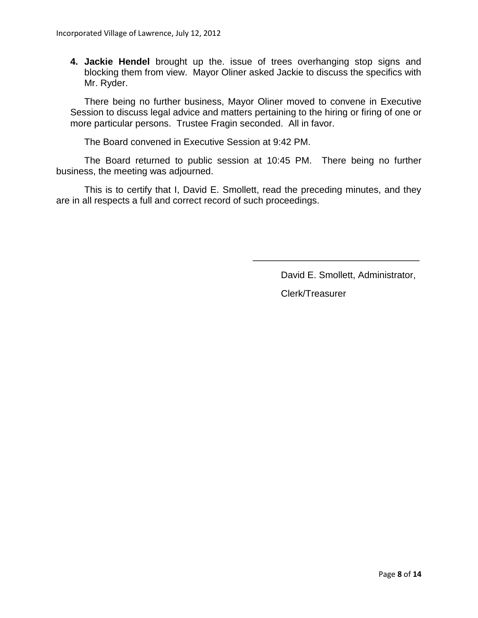**4. Jackie Hendel** brought up the. issue of trees overhanging stop signs and blocking them from view. Mayor Oliner asked Jackie to discuss the specifics with Mr. Ryder.

There being no further business, Mayor Oliner moved to convene in Executive Session to discuss legal advice and matters pertaining to the hiring or firing of one or more particular persons. Trustee Fragin seconded. All in favor.

The Board convened in Executive Session at 9:42 PM.

The Board returned to public session at 10:45 PM. There being no further business, the meeting was adjourned.

This is to certify that I, David E. Smollett, read the preceding minutes, and they are in all respects a full and correct record of such proceedings.

David E. Smollett, Administrator,

\_\_\_\_\_\_\_\_\_\_\_\_\_\_\_\_\_\_\_\_\_\_\_\_\_\_\_\_\_\_\_\_

Clerk/Treasurer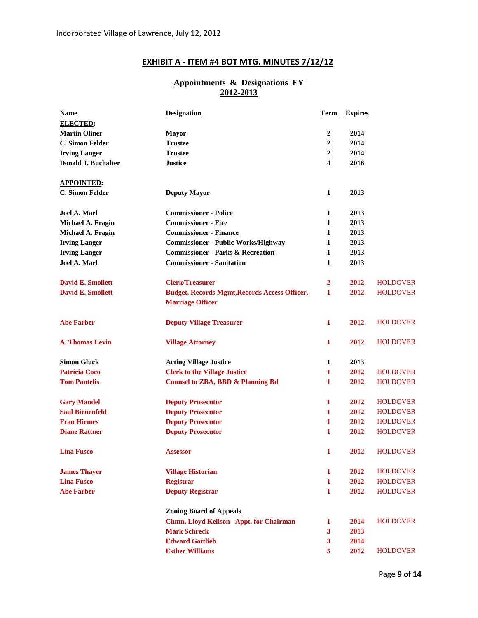# **EXHIBIT A - ITEM #4 BOT MTG. MINUTES 7/12/12**

### **Appointments & Designations FY 2012-2013**

| <b>Name</b>              | <b>Designation</b>                                   | Term                    | <b>Expires</b> |                 |
|--------------------------|------------------------------------------------------|-------------------------|----------------|-----------------|
| <b>ELECTED:</b>          |                                                      |                         |                |                 |
| <b>Martin Oliner</b>     | <b>Mayor</b>                                         | 2                       | 2014           |                 |
| C. Simon Felder          | <b>Trustee</b>                                       | 2                       | 2014           |                 |
| <b>Irving Langer</b>     | <b>Trustee</b>                                       | 2                       | 2014           |                 |
| Donald J. Buchalter      | <b>Justice</b>                                       | 4                       | 2016           |                 |
| <b>APPOINTED:</b>        |                                                      |                         |                |                 |
| C. Simon Felder          | <b>Deputy Mayor</b>                                  | $\mathbf{1}$            | 2013           |                 |
| Joel A. Mael             | <b>Commissioner - Police</b>                         | 1                       | 2013           |                 |
| Michael A. Fragin        | <b>Commissioner - Fire</b>                           | 1                       | 2013           |                 |
| Michael A. Fragin        | <b>Commissioner - Finance</b>                        | 1                       | 2013           |                 |
| <b>Irving Langer</b>     | <b>Commissioner - Public Works/Highway</b>           | 1                       | 2013           |                 |
| <b>Irving Langer</b>     | <b>Commissioner - Parks &amp; Recreation</b>         | 1                       | 2013           |                 |
| Joel A. Mael             | <b>Commissioner - Sanitation</b>                     | 1                       | 2013           |                 |
| <b>David E. Smollett</b> | <b>Clerk/Treasurer</b>                               | 2                       | 2012           | <b>HOLDOVER</b> |
| <b>David E. Smollett</b> | <b>Budget, Records Mgmt, Records Access Officer,</b> | 1                       | 2012           | <b>HOLDOVER</b> |
|                          | <b>Marriage Officer</b>                              |                         |                |                 |
| <b>Abe Farber</b>        | <b>Deputy Village Treasurer</b>                      | 1                       | 2012           | <b>HOLDOVER</b> |
| <b>A. Thomas Levin</b>   | <b>Village Attorney</b>                              | $\mathbf{1}$            | 2012           | <b>HOLDOVER</b> |
| <b>Simon Gluck</b>       | <b>Acting Village Justice</b>                        | 1                       | 2013           |                 |
| <b>Patricia Coco</b>     | <b>Clerk to the Village Justice</b>                  | 1                       | 2012           | <b>HOLDOVER</b> |
| <b>Tom Pantelis</b>      | <b>Counsel to ZBA, BBD &amp; Planning Bd</b>         | 1                       | 2012           | <b>HOLDOVER</b> |
| <b>Gary Mandel</b>       | <b>Deputy Prosecutor</b>                             | 1                       | 2012           | <b>HOLDOVER</b> |
| <b>Saul Bienenfeld</b>   | <b>Deputy Prosecutor</b>                             | 1                       | 2012           | <b>HOLDOVER</b> |
| <b>Fran Hirmes</b>       | <b>Deputy Prosecutor</b>                             | 1                       | 2012           | <b>HOLDOVER</b> |
| <b>Diane Rattner</b>     | <b>Deputy Prosecutor</b>                             | 1                       | 2012           | <b>HOLDOVER</b> |
| <b>Lina Fusco</b>        | <b>Assessor</b>                                      | 1                       | 2012           | <b>HOLDOVER</b> |
| <b>James Thayer</b>      | <b>Village Historian</b>                             | 1                       | 2012           | <b>HOLDOVER</b> |
| <b>Lina Fusco</b>        | <b>Registrar</b>                                     | 1                       | 2012           | <b>HOLDOVER</b> |
| <b>Abe Farber</b>        | <b>Deputy Registrar</b>                              | $\mathbf{1}$            | 2012           | <b>HOLDOVER</b> |
|                          | <b>Zoning Board of Appeals</b>                       |                         |                |                 |
|                          | Chmn, Lloyd Keilson Appt. for Chairman               | 1                       | 2014           | <b>HOLDOVER</b> |
|                          | <b>Mark Schreck</b>                                  | 3                       | 2013           |                 |
|                          | <b>Edward Gottlieb</b>                               | $\overline{\mathbf{3}}$ | 2014           |                 |
|                          | <b>Esther Williams</b>                               | 5                       | 2012           | <b>HOLDOVER</b> |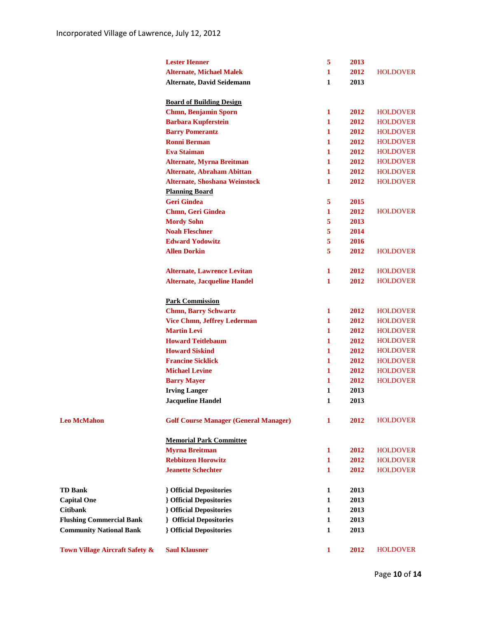|                                 | <b>Lester Henner</b>                                  | 5            | 2013 |                 |
|---------------------------------|-------------------------------------------------------|--------------|------|-----------------|
|                                 | <b>Alternate, Michael Malek</b>                       | 1            | 2012 | <b>HOLDOVER</b> |
|                                 | Alternate, David Seidemann                            | 1            | 2013 |                 |
|                                 |                                                       |              |      |                 |
|                                 | <b>Board of Building Design</b>                       |              |      |                 |
|                                 | <b>Chmn, Benjamin Sporn</b>                           | 1            | 2012 | <b>HOLDOVER</b> |
|                                 | <b>Barbara Kupferstein</b>                            | 1            | 2012 | <b>HOLDOVER</b> |
|                                 | <b>Barry Pomerantz</b>                                | 1            | 2012 | <b>HOLDOVER</b> |
|                                 | <b>Ronni Berman</b>                                   | 1            | 2012 | <b>HOLDOVER</b> |
|                                 | <b>Eva Staiman</b>                                    | $\mathbf{1}$ | 2012 | <b>HOLDOVER</b> |
|                                 | <b>Alternate, Myrna Breitman</b>                      | 1            | 2012 | <b>HOLDOVER</b> |
|                                 | <b>Alternate, Abraham Abittan</b>                     | $\mathbf{1}$ | 2012 | <b>HOLDOVER</b> |
|                                 | <b>Alternate, Shoshana Weinstock</b>                  | 1            | 2012 | <b>HOLDOVER</b> |
|                                 | <b>Planning Board</b>                                 |              |      |                 |
|                                 | <b>Geri Gindea</b>                                    | 5            | 2015 |                 |
|                                 | Chmn, Geri Gindea                                     | $\mathbf{1}$ | 2012 | <b>HOLDOVER</b> |
|                                 | <b>Mordy Sohn</b>                                     | 5            | 2013 |                 |
|                                 | <b>Noah Fleschner</b>                                 | 5            | 2014 |                 |
|                                 | <b>Edward Yodowitz</b>                                | 5            | 2016 |                 |
|                                 | <b>Allen Dorkin</b>                                   | 5            | 2012 | <b>HOLDOVER</b> |
|                                 |                                                       |              |      |                 |
|                                 | <b>Alternate, Lawrence Levitan</b>                    | 1            | 2012 | <b>HOLDOVER</b> |
|                                 | <b>Alternate, Jacqueline Handel</b>                   | 1            | 2012 | <b>HOLDOVER</b> |
|                                 |                                                       |              |      |                 |
|                                 | <b>Park Commission</b><br><b>Chmn, Barry Schwartz</b> | $\mathbf{1}$ | 2012 | <b>HOLDOVER</b> |
|                                 | <b>Vice Chmn, Jeffrey Lederman</b>                    | 1            | 2012 | <b>HOLDOVER</b> |
|                                 | <b>Martin Levi</b>                                    | $\mathbf{1}$ | 2012 | <b>HOLDOVER</b> |
|                                 | <b>Howard Teitlebaum</b>                              | 1            | 2012 | <b>HOLDOVER</b> |
|                                 | <b>Howard Siskind</b>                                 | 1            | 2012 | <b>HOLDOVER</b> |
|                                 | <b>Francine Sicklick</b>                              | 1            | 2012 | <b>HOLDOVER</b> |
|                                 | <b>Michael Levine</b>                                 | 1            | 2012 | <b>HOLDOVER</b> |
|                                 | <b>Barry Mayer</b>                                    | 1            | 2012 | <b>HOLDOVER</b> |
|                                 | <b>Irving Langer</b>                                  | 1            | 2013 |                 |
|                                 | <b>Jacqueline Handel</b>                              | 1            | 2013 |                 |
|                                 |                                                       |              |      |                 |
| <b>Leo McMahon</b>              | <b>Golf Course Manager (General Manager)</b>          | 1            | 2012 | <b>HOLDOVER</b> |
|                                 |                                                       |              |      |                 |
|                                 | <b>Memorial Park Committee</b>                        |              |      |                 |
|                                 | <b>Myrna Breitman</b>                                 | 1            | 2012 | <b>HOLDOVER</b> |
|                                 | <b>Rebbitzen Horowitz</b>                             | 1            | 2012 | <b>HOLDOVER</b> |
|                                 | <b>Jeanette Schechter</b>                             | 1            | 2012 | <b>HOLDOVER</b> |
| <b>TD Bank</b>                  | <b>} Official Depositories</b>                        | 1            | 2013 |                 |
| <b>Capital One</b>              | <b>{</b> Official Depositories                        | 1            | 2013 |                 |
| <b>Citibank</b>                 | <b>} Official Depositories</b>                        | 1            | 2013 |                 |
| <b>Flushing Commercial Bank</b> | <b>{</b> Official Depositories                        | 1            | 2013 |                 |
| <b>Community National Bank</b>  | <b>{</b> Official Depositories                        | 1            | 2013 |                 |
|                                 |                                                       |              |      |                 |
| Town Village Aircraft Safety &  | <b>Saul Klausner</b>                                  | $\mathbf{1}$ | 2012 | <b>HOLDOVER</b> |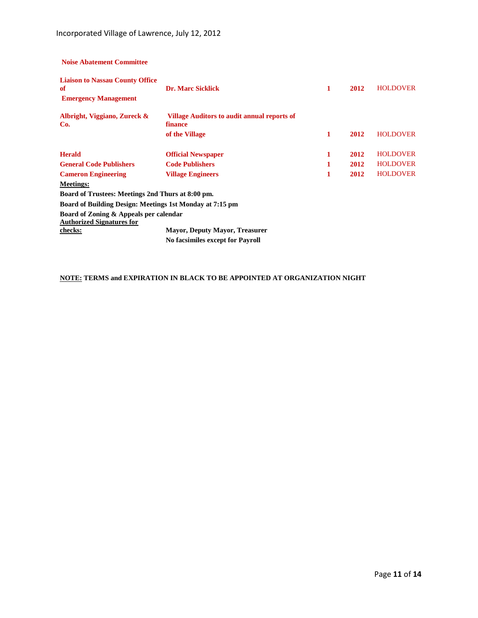**Noise Abatement Committee**

| <b>Liaison to Nassau County Office</b>                   |                                                               |   |      |                 |
|----------------------------------------------------------|---------------------------------------------------------------|---|------|-----------------|
| of                                                       | <b>Dr. Marc Sicklick</b>                                      | 1 | 2012 | <b>HOLDOVER</b> |
| <b>Emergency Management</b>                              |                                                               |   |      |                 |
| Albright, Viggiano, Zureck &<br>Co.                      | <b>Village Auditors to audit annual reports of</b><br>finance |   |      |                 |
|                                                          | of the Village                                                | 1 | 2012 | <b>HOLDOVER</b> |
| <b>Herald</b>                                            | <b>Official Newspaper</b>                                     | 1 | 2012 | <b>HOLDOVER</b> |
| <b>General Code Publishers</b>                           | <b>Code Publishers</b>                                        |   | 2012 | <b>HOLDOVER</b> |
| <b>Cameron Engineering</b>                               | <b>Village Engineers</b>                                      | 1 | 2012 | <b>HOLDOVER</b> |
| <b>Meetings:</b>                                         |                                                               |   |      |                 |
| Board of Trustees: Meetings 2nd Thurs at 8:00 pm.        |                                                               |   |      |                 |
| Board of Building Design: Meetings 1st Monday at 7:15 pm |                                                               |   |      |                 |
| Board of Zoning & Appeals per calendar                   |                                                               |   |      |                 |
| <b>Authorized Signatures for</b>                         |                                                               |   |      |                 |
| checks:                                                  | <b>Mayor, Deputy Mayor, Treasurer</b>                         |   |      |                 |
|                                                          | <b>No facsimiles except for Payroll</b>                       |   |      |                 |

### **NOTE: TERMS and EXPIRATION IN BLACK TO BE APPOINTED AT ORGANIZATION NIGHT**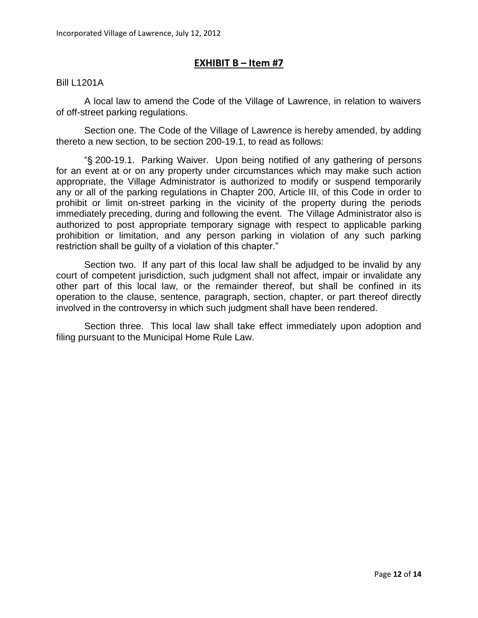# **EXHIBIT B – Item #7**

#### Bill L1201A

A local law to amend the Code of the Village of Lawrence, in relation to waivers of off-street parking regulations.

Section one. The Code of the Village of Lawrence is hereby amended, by adding thereto a new section, to be section 200-19.1, to read as follows:

"§ 200-19.1. Parking Waiver. Upon being notified of any gathering of persons for an event at or on any property under circumstances which may make such action appropriate, the Village Administrator is authorized to modify or suspend temporarily any or all of the parking regulations in Chapter 200, Article III, of this Code in order to prohibit or limit on-street parking in the vicinity of the property during the periods immediately preceding, during and following the event. The Village Administrator also is authorized to post appropriate temporary signage with respect to applicable parking prohibition or limitation, and any person parking in violation of any such parking restriction shall be guilty of a violation of this chapter."

Section two. If any part of this local law shall be adjudged to be invalid by any court of competent jurisdiction, such judgment shall not affect, impair or invalidate any other part of this local law, or the remainder thereof, but shall be confined in its operation to the clause, sentence, paragraph, section, chapter, or part thereof directly involved in the controversy in which such judgment shall have been rendered.

Section three. This local law shall take effect immediately upon adoption and filing pursuant to the Municipal Home Rule Law.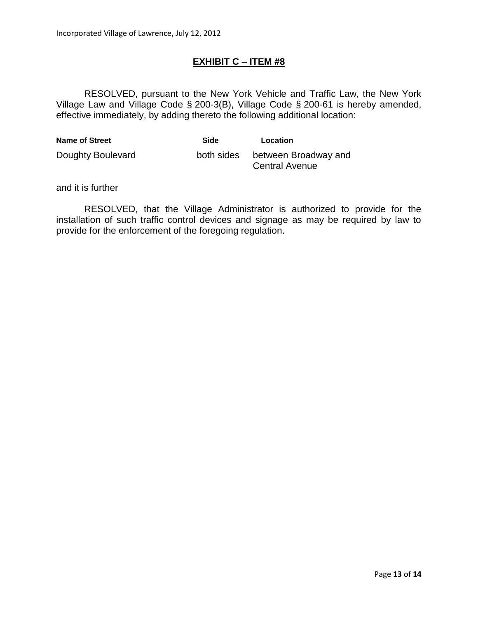# **EXHIBIT C – ITEM #8**

RESOLVED, pursuant to the New York Vehicle and Traffic Law, the New York Village Law and Village Code § 200-3(B), Village Code § 200-61 is hereby amended, effective immediately, by adding thereto the following additional location:

| <b>Name of Street</b> | Side       | Location                                      |
|-----------------------|------------|-----------------------------------------------|
| Doughty Boulevard     | both sides | between Broadway and<br><b>Central Avenue</b> |

and it is further

RESOLVED, that the Village Administrator is authorized to provide for the installation of such traffic control devices and signage as may be required by law to provide for the enforcement of the foregoing regulation.